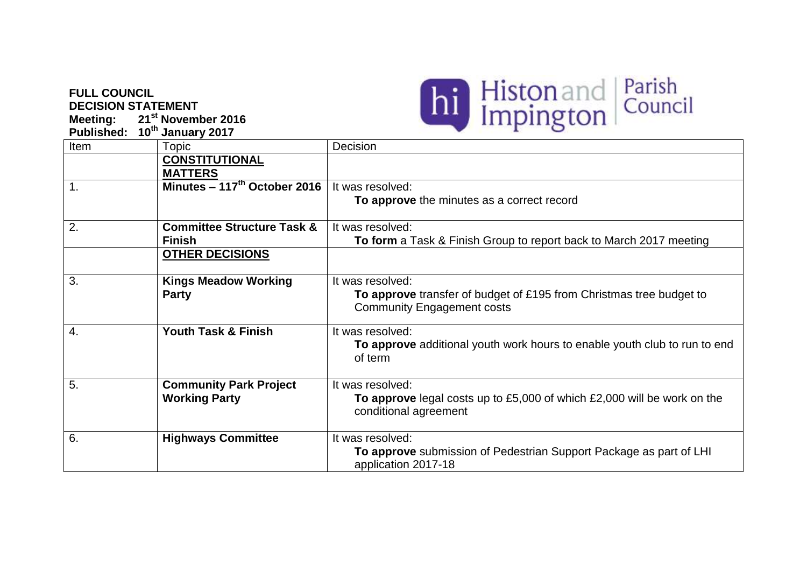## **FULL COUNCIL DECISION STATEMENT**

**Meeting: 21st November 2016**



| <b>Published:</b> | 10th January 2017                        | $\circ$                                                                                                  |
|-------------------|------------------------------------------|----------------------------------------------------------------------------------------------------------|
| Item              | Topic                                    | Decision                                                                                                 |
|                   | <b>CONSTITUTIONAL</b>                    |                                                                                                          |
|                   | <b>MATTERS</b>                           |                                                                                                          |
| $\mathbf{1}$ .    | Minutes - 117 <sup>th</sup> October 2016 | It was resolved:                                                                                         |
|                   |                                          | To approve the minutes as a correct record                                                               |
| 2.                | <b>Committee Structure Task &amp;</b>    | It was resolved:                                                                                         |
|                   | <b>Finish</b>                            | To form a Task & Finish Group to report back to March 2017 meeting                                       |
|                   | <b>OTHER DECISIONS</b>                   |                                                                                                          |
| 3.                | <b>Kings Meadow Working</b>              | It was resolved:                                                                                         |
|                   | <b>Party</b>                             | To approve transfer of budget of £195 from Christmas tree budget to<br><b>Community Engagement costs</b> |
| 4.                | <b>Youth Task &amp; Finish</b>           | It was resolved:                                                                                         |
|                   |                                          | To approve additional youth work hours to enable youth club to run to end<br>of term                     |
| 5.                | <b>Community Park Project</b>            | It was resolved:                                                                                         |
|                   | <b>Working Party</b>                     | To approve legal costs up to £5,000 of which £2,000 will be work on the<br>conditional agreement         |
| 6.                | <b>Highways Committee</b>                | It was resolved:                                                                                         |
|                   |                                          | To approve submission of Pedestrian Support Package as part of LHI<br>application 2017-18                |